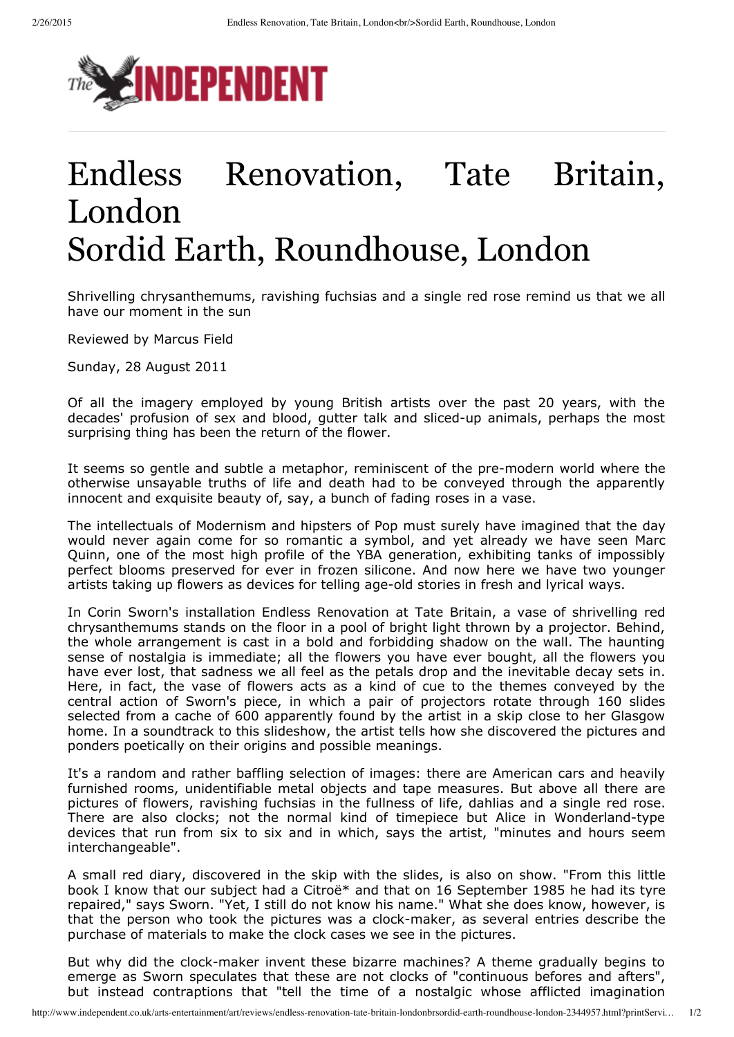

## Endless Renovation, Tate Britain, London Sordid Earth, Roundhouse, London

Shrivelling chrysanthemums, ravishing fuchsias and a single red rose remind us that we all have our moment in the sun

Reviewed by Marcus Field

Sunday, 28 August 2011

Of all the imagery employed by young British artists over the past 20 years, with the decades' profusion of sex and blood, gutter talk and sliced-up animals, perhaps the most surprising thing has been the return of the flower.

It seems so gentle and subtle a metaphor, reminiscent of the pre-modern world where the otherwise unsayable truths of life and death had to be conveyed through the apparently innocent and exquisite beauty of, say, a bunch of fading roses in a vase.

The intellectuals of Modernism and hipsters of Pop must surely have imagined that the day would never again come for so romantic a symbol, and yet already we have seen Marc Quinn, one of the most high profile of the YBA generation, exhibiting tanks of impossibly perfect blooms preserved for ever in frozen silicone. And now here we have two younger artists taking up flowers as devices for telling age-old stories in fresh and lyrical ways.

In Corin Sworn's installation Endless Renovation at Tate Britain, a vase of shrivelling red chrysanthemums stands on the floor in a pool of bright light thrown by a projector. Behind, the whole arrangement is cast in a bold and forbidding shadow on the wall. The haunting sense of nostalgia is immediate; all the flowers you have ever bought, all the flowers you have ever lost, that sadness we all feel as the petals drop and the inevitable decay sets in. Here, in fact, the vase of flowers acts as a kind of cue to the themes conveyed by the central action of Sworn's piece, in which a pair of projectors rotate through 160 slides selected from a cache of 600 apparently found by the artist in a skip close to her Glasgow home. In a soundtrack to this slideshow, the artist tells how she discovered the pictures and ponders poetically on their origins and possible meanings.

It's a random and rather baffling selection of images: there are American cars and heavily furnished rooms, unidentifiable metal objects and tape measures. But above all there are pictures of flowers, ravishing fuchsias in the fullness of life, dahlias and a single red rose. There are also clocks; not the normal kind of timepiece but Alice in Wonderland-type devices that run from six to six and in which, says the artist, "minutes and hours seem interchangeable".

A small red diary, discovered in the skip with the slides, is also on show. "From this little book I know that our subject had a Citroë\* and that on 16 September 1985 he had its tyre repaired," says Sworn. "Yet, I still do not know his name." What she does know, however, is that the person who took the pictures was a clock-maker, as several entries describe the purchase of materials to make the clock cases we see in the pictures.

But why did the clock-maker invent these bizarre machines? A theme gradually begins to emerge as Sworn speculates that these are not clocks of "continuous befores and afters", but instead contraptions that "tell the time of a nostalgic whose afflicted imagination